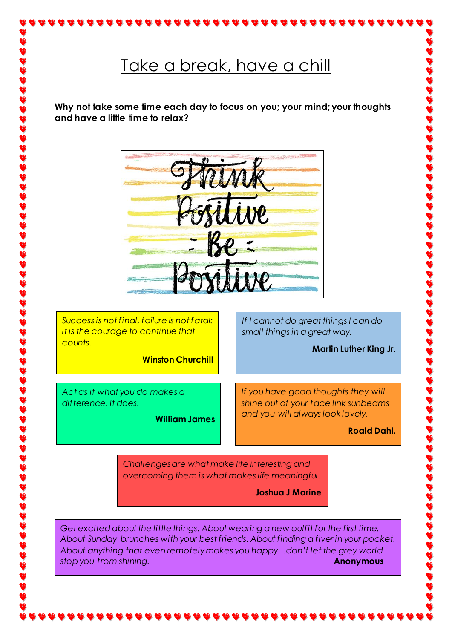# Take a break, have a chill

**Why not take some time each day to focus on you; your mind; your thoughts and have a little time to relax?**



*Success is not final, failure is not fatal: it is the courage to continue that counts.*

**Winston Churchill**

*Act as if what you do makes a difference. It does.*

**William James**

*If I cannot do great things I can do small things in a great way.*

**Martin Luther King Jr.**

*If you have good thoughts they will shine out of your face link sunbeams and you will always look lovely.*

**Roald Dahl.**

*Challenges are what make life interesting and overcoming them is what makes life meaningful.*

**Joshua J Marine**

*Get excited about the little things. About wearing a new outfit for the first time. About Sunday brunches with your best friends. About finding a fiver in your pocket. About anything that even remotely makes you happy…don't let the grey world stop you from shining.* **Anonymous Anonymous**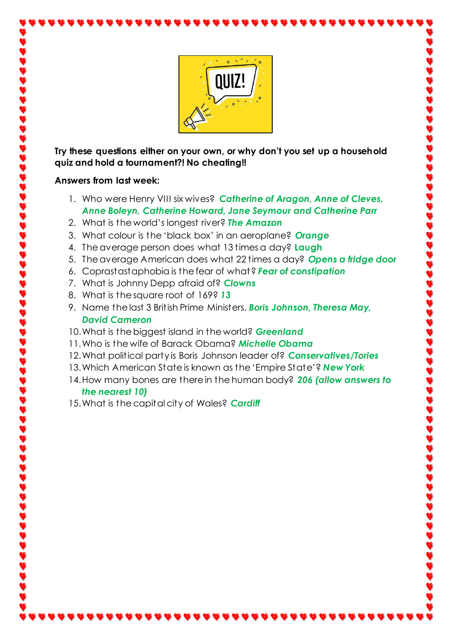

**Try these questions either on your own, or why don't you set up a household quiz and hold a tournament?! No cheating!!**

#### **Answers from last week:**

- 1. Who were Henry VIII six wives? *Catherine of Aragon, Anne of Cleves, Anne Boleyn, Catherine Howard, Jane Seymour and Catherine Parr*
- 2. What is the world's longest river? *The Amazon*
- 3. What colour is the 'black box' in an aeroplane? *Orange*
- 4. The average person does what 13 times a day? **Laugh**
- 5. The average American does what 22 times a day? *Opens a fridge door*
- 6. Coprastastaphobia is the fear of what? *Fear of constipation*
- 7. What is Johnny Depp afraid of? *Clowns*
- 8. What is the square root of 169? *13*
- 9. Name the last 3 British Prime Ministers. *Boris Johnson, Theresa May, David Cameron*
- 10.What is the biggest island in the world? *Greenland*
- 11.Who is the wife of Barack Obama? *Michelle Obama*
- 12.What political party is Boris Johnson leader of? *Conservatives/Tories*
- 13.Which American State is known as the 'Empire State'? *New York*
- 14.How many bones are there in the human body? *206 (allow answers to the nearest 10)*
- 15.What is the capital city of Wales? *Cardiff*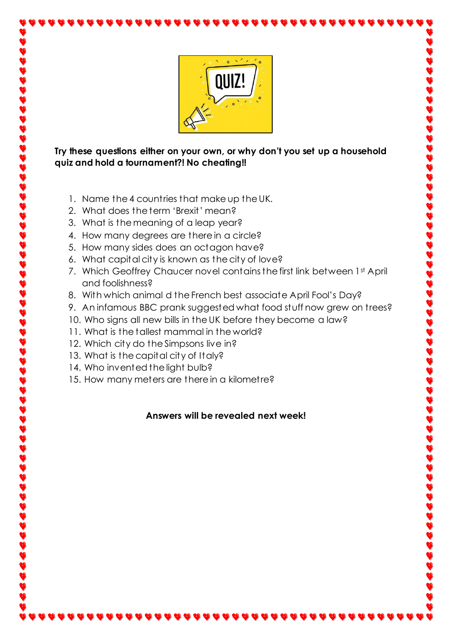

#### **Try these questions either on your own, or why don't you set up a household quiz and hold a tournament?! No cheating!!**

- 1. Name the 4 countries that make up the UK.
- 2. What does the term 'Brexit' mean?
- 3. What is the meaning of a leap year?
- 4. How many degrees are there in a circle?
- 5. How many sides does an octagon have?
- 6. What capital city is known as the city of love?
- 7. Which Geoffrey Chaucer novel contains the first link between 1st April and foolishness?
- 8. With which animal d the French best associate April Fool's Day?
- 9. An infamous BBC prank suggested what food stuff now grew on trees?
- 10. Who signs all new bills in the UK before they become a law?
- 11. What is the tallest mammal in the world?
- 12. Which city do the Simpsons live in?
- 13. What is the capital city of Italy?
- 14. Who invented the light bulb?
- 15. How many meters are there in a kilometre?

## **Answers will be revealed next week!**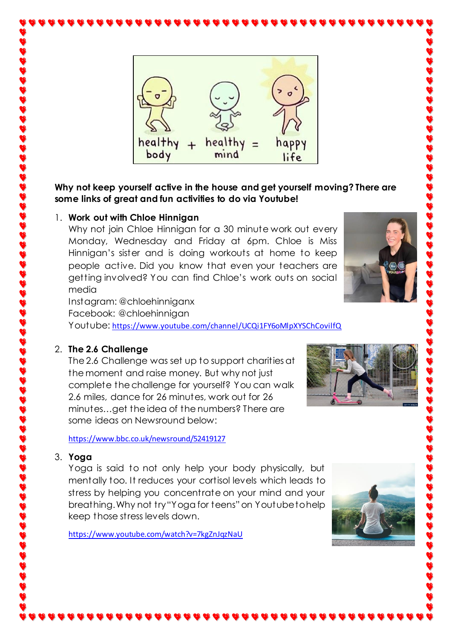

**Why not keep yourself active in the house and get yourself moving? There are some links of great and fun activities to do via Youtube!**

#### 1. **Work out with Chloe Hinnigan**

Why not join Chloe Hinnigan for a 30 minute work out every Monday, Wednesday and Friday at 6pm. Chloe is Miss Hinnigan's sister and is doing workouts at home to keep people active. Did you know that even your teachers are getting involved? You can find Chloe's work outs on social media

Instagram: @chloehinniganx Facebook: @chloehinnigan Youtube: [https://www.youtube.com/channel/UCQi1FY6oMlpXYSChCovilf](https://www.youtube.com/channel/UCQi1FY6oMlpXYSChCovilfQ)Q

## 2. **The 2.6 Challenge**

The 2.6 Challenge was set up to support charities at the moment and raise money. But why not just complete the challenge for yourself? You can walk 2.6 miles, dance for 26 minutes, work out for 26 minutes…get the idea of the numbers? There are some ideas on Newsround below:

<https://www.bbc.co.uk/newsround/52419127>

#### 3. **Yoga**

Yoga is said to not only help your body physically, but mentally too. It reduces your cortisol levels which leads to stress by helping you concentrate on your mind and your breathing. Why not try "Yoga for teens" on Youtube to help keep those stress levels down.

<https://www.youtube.com/watch?v=7kgZnJqzNaU>



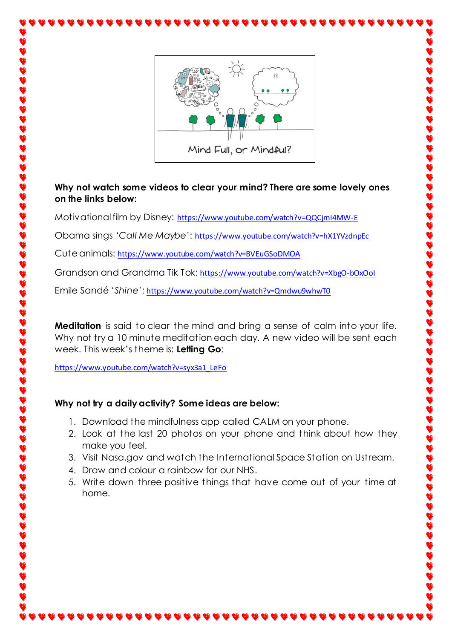

#### **Why not watch some videos to clear your mind? There are some lovely ones on the links below:**

Motivational film by Disney: <https://www.youtube.com/watch?v=QQCjmI4MW-E>

Obama sings *'Call Me Maybe'*: <https://www.youtube.com/watch?v=hX1YVzdnpEc>

Cute animals: <https://www.youtube.com/watch?v=BVEuGSoDMOA>

Grandson and Grandma Tik Tok: <https://www.youtube.com/watch?v=XbgO-bOxOoI>

Emile Sandé '*Shine'*: <https://www.youtube.com/watch?v=Qmdwu9whwT0>

**Meditation** is said to clear the mind and bring a sense of calm into your life. Why not try a 10 minute meditation each day. A new video will be sent each week. This week's theme is: **Letting Go**:

[https://www.youtube.com/watch?v=syx3a1\\_LeFo](https://www.youtube.com/watch?v=syx3a1_LeFo)

# **Why not try a daily activity? Some ideas are below:**

- 1. Download the mindfulness app called CALM on your phone.
- 2. Look at the last 20 photos on your phone and think about how they make you feel.
- 3. Visit Nasa.gov and watch the International Space Station on Ustream.
- 4. Draw and colour a rainbow for our NHS.
- 5. Write down three positive things that have come out of your time at home.